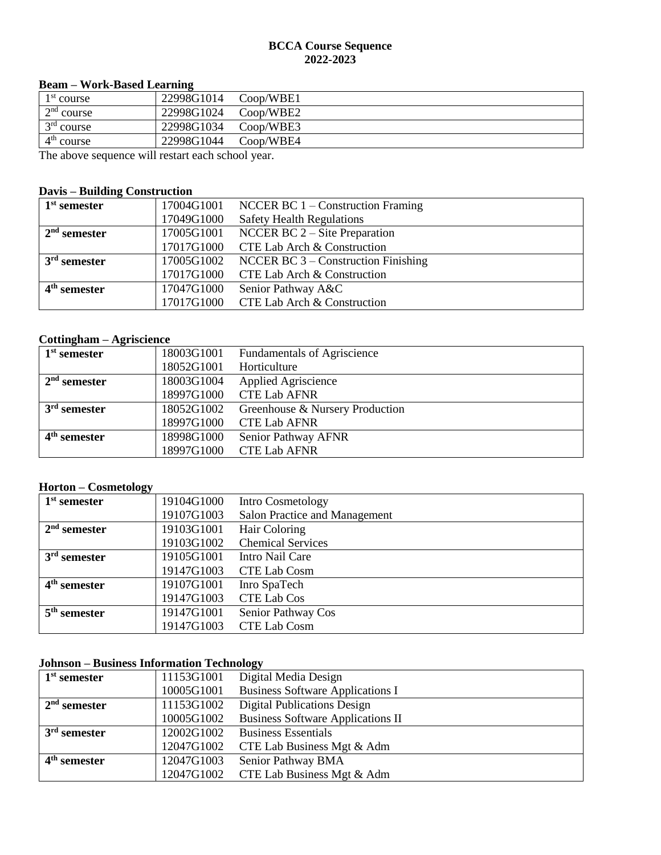#### **BCCA Course Sequence 2022-2023**

### **Beam – Work-Based Learning**

| 1 <sup>st</sup> course                                | 22998G1014 | Coop/WBE1 |  |
|-------------------------------------------------------|------------|-----------|--|
| 2 <sup>nd</sup> course                                | 22998G1024 | Coop/WBE2 |  |
| $3rd$ course                                          | 22998G1034 | Coop/WBE3 |  |
| 4 <sup>th</sup> course                                | 22998G1044 | Coop/WBE4 |  |
| The electronic acquaince will rectar toop school week |            |           |  |

The above sequence will restart each school year.

## **Davis – Building Construction**

| $1st$ semester |            | 17004G1001 NCCER BC 1 – Construction Framing |
|----------------|------------|----------------------------------------------|
|                | 17049G1000 | <b>Safety Health Regulations</b>             |
| $2nd$ semester | 17005G1001 | NCCER BC $2 -$ Site Preparation              |
|                | 17017G1000 | CTE Lab Arch & Construction                  |
| $3rd$ semester | 17005G1002 | NCCER BC $3$ – Construction Finishing        |
|                | 17017G1000 | CTE Lab Arch & Construction                  |
| $4th$ semester | 17047G1000 | Senior Pathway A&C                           |
|                |            | 17017G1000 CTE Lab Arch & Construction       |

### **Cottingham – Agriscience**

| $1st$ semester | 18003G1001 | <b>Fundamentals of Agriscience</b> |
|----------------|------------|------------------------------------|
|                | 18052G1001 | Horticulture                       |
| $2nd$ semester | 18003G1004 | <b>Applied Agriscience</b>         |
|                | 18997G1000 | <b>CTE Lab AFNR</b>                |
| $3rd$ semester | 18052G1002 | Greenhouse & Nursery Production    |
|                | 18997G1000 | <b>CTE Lab AFNR</b>                |
| $4th$ semester | 18998G1000 | Senior Pathway AFNR                |
|                | 18997G1000 | <b>CTE Lab AFNR</b>                |

# **Horton – Cosmetology**

| $1st$ semester | 19104G1000 | Intro Cosmetology             |
|----------------|------------|-------------------------------|
|                | 19107G1003 | Salon Practice and Management |
| $2nd$ semester | 19103G1001 | Hair Coloring                 |
|                | 19103G1002 | <b>Chemical Services</b>      |
| $3rd$ semester | 19105G1001 | Intro Nail Care               |
|                | 19147G1003 | <b>CTE Lab Cosm</b>           |
| $4th$ semester | 19107G1001 | Inro SpaTech                  |
|                | 19147G1003 | <b>CTE Lab Cos</b>            |
| $5th$ semester | 19147G1001 | Senior Pathway Cos            |
|                | 19147G1003 | <b>CTE Lab Cosm</b>           |

## **Johnson – Business Information Technology**

| $1st$ semester | 11153G1001 | Digital Media Design                     |
|----------------|------------|------------------------------------------|
|                | 10005G1001 | <b>Business Software Applications I</b>  |
| $2nd$ semester | 11153G1002 | <b>Digital Publications Design</b>       |
|                | 10005G1002 | <b>Business Software Applications II</b> |
| $3rd$ semester | 12002G1002 | <b>Business Essentials</b>               |
|                | 12047G1002 | CTE Lab Business Mgt & Adm               |
| $4th$ semester | 12047G1003 | Senior Pathway BMA                       |
|                | 12047G1002 | CTE Lab Business Mgt & Adm               |